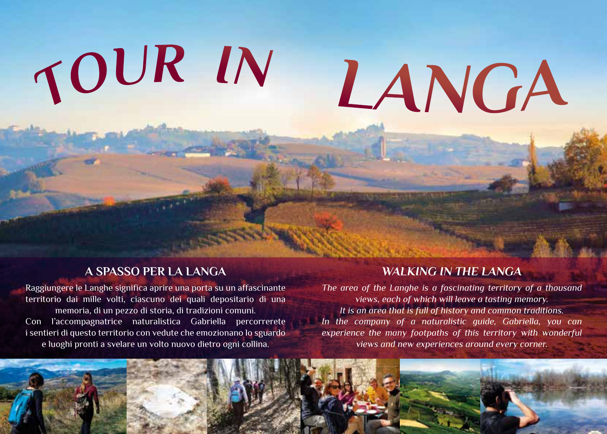# *TO UR IN*

# *LANGA*

## **A SPASSO PER LA LANGA**

Raggiungere le Langhe significa aprire una porta su un affascinante territorio dai mille volti, ciascuno dei quali depositario di una memoria, di un pezzo di storia, di tradizioni comuni. Con l'accompagnatrice naturalistica Gabriella percorrerete i sentieri di questo territorio con vedute che emozionano lo sguardo e luoghi pronti a svelare un volto nuovo dietro ogni collina.

# *WALKING IN THE LANGA*

*The area of the Langhe is a fascinating territory of a thousand views, each of which will leave a tasting memory. It is an area that is full of history and common traditions. In the company of a naturalistic guide, Gabriella, you can experience the many footpaths of this territory with wonderful views and new experiences around every corner.*

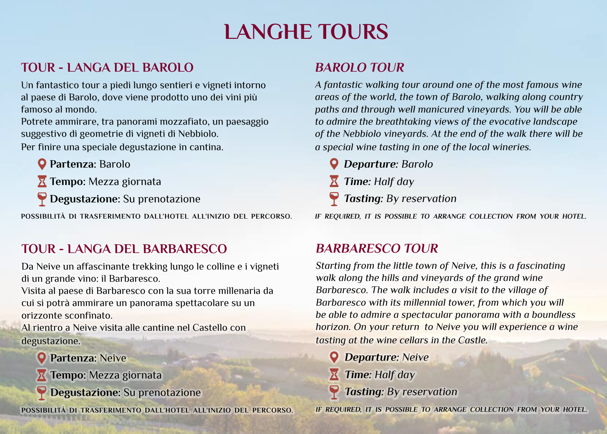# **LANGHE TOURS**

# **TOUR - LANGA DEL BAROLO**

Un fantastico tour a piedi lungo sentieri e vigneti intorno al paese di Barolo, dove viene prodotto uno dei vini più famoso al mondo.

Potrete ammirare, tra panorami mozzafiato, un paesaggio suggestivo di geometrie di vigneti di Nebbiolo.

Per finire una speciale degustazione in cantina.

**Partenza:** Barolo

**Tempo:** Mezza giornata

**Degustazione:** Su prenotazione

**POSSIBILITÀ DI TRASFERIMENTO DALL'HOTEL ALL'INIZIO DEL PERCORSO.**

# **TOUR - LANGA DEL BARBARESCO**

Da Neive un affascinante trekking lungo le colline e i vigneti di un grande vino: il Barbaresco.

Visita al paese di Barbaresco con la sua torre millenaria da cui si potrà ammirare un panorama spettacolare su un orizzonte sconfinato.

Al rientro a Neive visita alle cantine nel Castello con degustazione.

**Partenza:** Neive

**Tempo:** Mezza giornata

**Degustazione:** Su prenotazione

**POSSIBILITÀ DI TRASFERIMENTO DALL'HOTEL ALL'INIZIO DEL PERCORSO.**

# *BAROLO TOUR*

*A fantastic walking tour around one of the most famous wine areas of the world, the town of Barolo, walking along country paths and through well manicured vineyards. You will be able to admire the breathtaking views of the evocative landscape of the Nebbiolo vineyards. At the end of the walk there will be a special wine tasting in one of the local wineries.*

- *Departure: Barolo*
- *Time: Half day*
- *Tasting: By reservation*

*IF REQUIRED, IT IS POSSIBLE TO ARRANGE COLLECTION FROM YOUR HOTEL.*

# *BARBARESCO TOUR*

*Starting from the little town of Neive, this is a fascinating walk along the hills and vineyards of the grand wine Barbaresco. The walk includes a visit to the village of Barbaresco with its millennial tower, from which you will be able to admire a spectacular panorama with a boundless horizon. On your return to Neive you will experience a wine tasting at the wine cellars in the Castle.*

- *Departure: Neive*
- *Time: Half day*
- *Tasting: By reservation*

*IF REQUIRED, IT IS POSSIBLE TO ARRANGE COLLECTION FROM YOUR HOTEL.*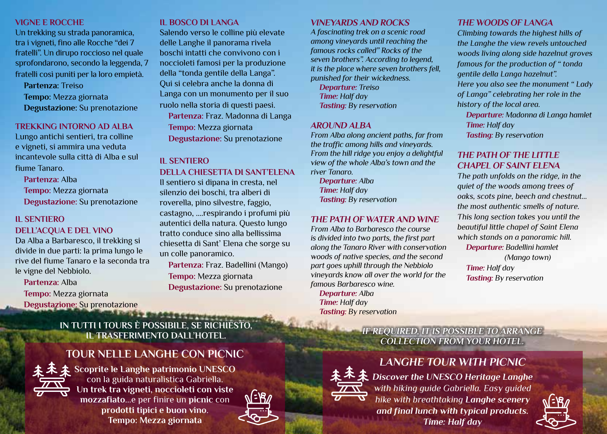#### **VIGNE E ROCCHE**

Un trekking su strada panoramica, tra i vigneti, fino alle Rocche "dei 7 fratelli". Un dirupo roccioso nel quale sprofondarono, secondo la leggenda, 7 fratelli così puniti per la loro empietà.

**Partenza:** Treiso **Tempo:** Mezza giornata **Degustazione:** Su prenotazione

#### **TREKKING INTORNO AD ALBA**

Lungo antichi sentieri, tra colline e vigneti, si ammira una veduta incantevole sulla città di Alba e sul fiume Tanaro.

**Partenza:** Alba

**Tempo:** Mezza giornata **Degustazione:** Su prenotazione

#### **IL SENTIERO DELL'ACQUA E DEL VINO**

Da Alba a Barbaresco, il trekking si divide in due parti: la prima lungo le rive del fiume Tanaro e la seconda tra le vigne del Nebbiolo.

#### **Partenza:** Alba

**Tempo:** Mezza giornata **Degustazione:** Su prenotazione

#### **IL BOSCO DI LANGA**

Salendo verso le colline più elevate delle Langhe il panorama rivela boschi intatti che convivono con i noccioleti famosi per la produzione della "tonda gentile della Langa". Qui si celebra anche la donna di Langa con un monumento per il suo ruolo nella storia di questi paesi. **Partenza:** Fraz. Madonna di Langa **Tempo:** Mezza giornata **Degustazione:** Su prenotazione

#### **IL SENTIERO**

#### **DELLA CHIESETTA DI SANT'ELENA**

Il sentiero si dipana in cresta, nel silenzio dei boschi, tra alberi di roverella, pino silvestre, faggio, castagno, ....respirando i profumi più autentici della natura. Questo lungo tratto conduce sino alla bellissima chiesetta di Sant' Elena che sorge su un colle panoramico.

**Partenza:** Fraz. Badellini (Mango) **Tempo:** Mezza giornata **Degustazione:** Su prenotazione

### **IN TUTTI I TOURS È POSSIBILE, SE RICHIESTO, IL TRASFERIMENTO DALL'HOTEL.**

### **TOUR NELLE LANGHE CON PICNIC**



**Scoprite le Langhe patrimonio UNESCO** con la guida naturalistica Gabriella. **Un trek tra vigneti, noccioleti con viste mozzafiato**...e per finire un **picnic** con **prodotti tipici e buon vino**. **Tempo: Mezza giornata**



#### *VINEYARDS AND ROCKS*

*A fascinating trek on a scenic road among vineyards until reaching the famous rocks called" Rocks of the seven brothers". According to legend, it is the place where seven brothers fell, punished for their wickedness.* 

*Departure: Treiso Time: Half day Tasting: By reservation*

#### *AROUND ALBA*

*From Alba along ancient paths, far from the traffic among hills and vineyards. From the hill ridge you enjoy a delightful view of the whole Alba's town and the river Tanaro.*

*Departure: Alba Time: Half day Tasting: By reservation*

#### *THE PATH OF WATER AND WINE*

*From Alba to Barbaresco the course is divided into two parts, the first part along the Tanaro River with conservation woods of native species, and the second part goes uphill through the Nebbiolo vineyards know all over the world for the famous Barbaresco wine. Departure: Alba Time: Half day Tasting: By reservation*

#### *THE WOODS OF LANGA*

*Climbing towards the highest hills of the Langhe the view revels untouched woods living along side hazelnut groves famous for the production of " tonda gentile della Langa hazelnut". Here you also see the monument " Lady of Langa" celebrating her role in the history of the local area.*

*Departure: Madonna di Langa hamlet Time: Half day Tasting: By reservation*

#### *THE PATH OF THE LITTLE CHAPEL OF SAINT ELENA*

*Tasting: By reservation*

*The path unfolds on the ridge, in the quiet of the woods among trees of oaks, scots pine, beech and chestnut... the most authentic smells of nature. This long section takes you until the beautiful little chapel of Saint Elena which stands on a panoramic hill. Departure: Badellini hamlet (Mango town) Time: Half day*

#### *IF REQUIRED, IT IS POSSIBLE TO ARRANGE COLLECTION FROM YOUR HOTEL.*

# *LANGHE TOUR WITH PICNIC*



*Discover the UNESCO Heritage Langhe with hiking guide Gabriella. Easy guided hike with breathtaking Langhe scenery and final lunch with typical products. Time: Half day*